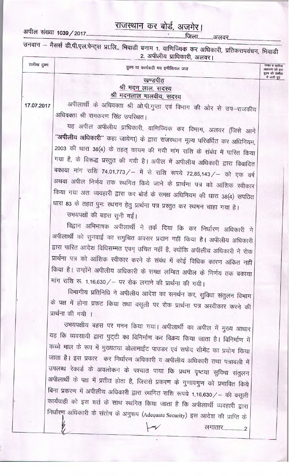## राजस्थान कर बोर्ड, अजमेर।

2. अपीलीय प्राधिकारी, अलवर।

| तारीख हुक्म | हुक्म या कार्यवाही मय इनीशियल जज                                                | नम्बर व तारीख<br>अहकान जो इस<br>हुक्म की तामील<br>में जारी हुए |
|-------------|---------------------------------------------------------------------------------|----------------------------------------------------------------|
|             | खण्डपीठ                                                                         |                                                                |
|             | श्री मदन लाल, सदस्य<br>श्री मदनलाल मालवीय, सदस्य                                |                                                                |
| 17.07.2017  | अपीलार्थी के अधिवक्ता श्री ओ.पी.गुप्ता एवं विभाग की ओर से उप-राजकीय             |                                                                |
|             | अधिवक्ता श्री रामकरण सिंह उपरिथत।                                               |                                                                |
|             | यह अपील अपीलीय प्राधिकारी, वाणिज्यिक कर विभाग, अलवर (जिसे आगे                   |                                                                |
|             | "अपीलीय अधिकारी" कहा जायेगा) के द्वारा राजस्थान मूल्य परिवर्धित कर अधिनियम,     |                                                                |
|             | 2003 की धारा 38(4) के तहत् कायम की गयी मांग राशि के संबंध में पारित किया        |                                                                |
|             | गया है, के विरूद्ध प्रस्तुत की गयी है। अपील में अपीलीय अधिकारी द्वारा विवादित   |                                                                |
|             | बकाया मांग राशि 74,01,773 / - में से राशि रूपये 72,85,143 / - को एक वर्ष        |                                                                |
|             | अथवा अपील निर्णय तक स्थगित किये जाने के प्रार्थना पत्र को आंशिक स्वीकार         |                                                                |
|             | किया गया अतः व्यवहारी द्वारा कर बोर्ड के समक्ष अधिनियम की धारा 38(4) सपठित      |                                                                |
|             | धारा 83 के तहत पुनः स्थगन हेतु प्रार्थना पत्र प्रस्तुत कर स्थगन चाहा गया है।    |                                                                |
|             | उभयपक्षों की बहस सुनी गई।                                                       |                                                                |
|             |                                                                                 |                                                                |
|             | विद्वान अभिभाषक अपीलार्थी ने तर्क दिया कि कर निर्धारण अधिकारी ने                |                                                                |
|             | अपीलार्थी को सुनवाई का समुचित अवसर प्रदान नहीं किया है। अपीलीय अधिकारी          |                                                                |
|             | द्वारा पारित आदेश विधिसम्मत एवम् उचित नहीं है, क्योंकि अपीलीय अधिकारी ने रोक    |                                                                |
|             | प्रार्थना पत्र को आंशिक स्वीकार करने के संबंध में कोई विधिक कारण अंकित नहीं     |                                                                |
|             | किया है। उन्होंने अपीलीय अधिकारी के समक्ष लम्बित अपील के निर्णय तक बकाया        |                                                                |
|             | मांग राशि रू. 1,16,630/ – पर रोक लगाने की प्रार्थना की गयी।                     |                                                                |
|             | विभागीय प्रतिनिधि ने अपीलीय आदेश का समर्थन कर, सुविधा संतुलन विभाग              |                                                                |
|             | के पक्ष में होना प्रकट किया तथा वसूली पर रोक प्रार्थना पत्र अस्वीकार करने की    |                                                                |
|             | प्रार्थना की गयी ।                                                              |                                                                |
|             | उभयपक्षीय बहस पर मनन किया गया। अपीलार्थी का अपील में मुख्य आधार                 |                                                                |
|             | यह कि व्यवसायी द्वारा पुट्टी का विनिर्माण कर विक्रय किया जाता है। विनिर्माण में |                                                                |
|             | कच्चे माल के रूप में मुख्यतया डोलामाईट पाउडर एवं सफेद सीमेंट का प्रयोग किया     |                                                                |
|             | जाता है। इस प्रकार कर निर्धारण अधिकारी व अपीलीय अधिकारी तथा पत्रावली में        |                                                                |
|             | उपलब्ध रेकार्ड के अवलोकन के पश्चात पाया कि प्रथम दृष्टया सुविधा संतुलन          |                                                                |
|             | अपीलार्थी के पक्ष में प्रतीत होता है, जिससे प्रकरण के गुणावगुण को प्रभावित किये |                                                                |
|             | बिना प्रकरण में अपीलीय अधिकारी द्वारा स्थगित राशि रूपये 1,16,630 / - की वसूली   |                                                                |
|             | कार्यवाही को इस शर्त के साथ स्थगित किया जाता है कि अपीलार्थी व्यवहारी द्वारा    |                                                                |
|             | निर्धारण अधिकारी के संतोष के अनुरूप (Adequate Security) इस आदेश की प्राप्ति के  |                                                                |
|             |                                                                                 |                                                                |